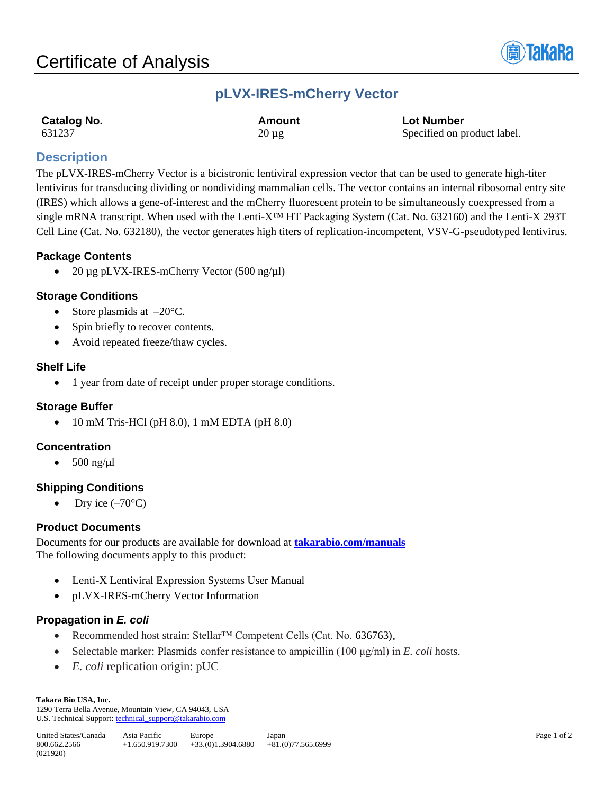

## **pLVX-IRES-mCherry Vector**

| <b>Catalog No.</b> | Amount     | <b>Lot Number</b>           |
|--------------------|------------|-----------------------------|
| 631237             | $20 \mu$ g | Specified on product label. |

## **Description**

The pLVX-IRES-mCherry Vector is a bicistronic lentiviral expression vector that can be used to generate high-titer lentivirus for transducing dividing or nondividing mammalian cells. The vector contains an internal ribosomal entry site (IRES) which allows a gene-of-interest and the mCherry fluorescent protein to be simultaneously coexpressed from a single mRNA transcript. When used with the Lenti-X<sup>™</sup> HT Packaging System (Cat. No. 632160) and the Lenti-X 293T Cell Line (Cat. No. 632180), the vector generates high titers of replication-incompetent, VSV-G-pseudotyped lentivirus.

## **Package Contents**

• 20 µg pLVX-IRES-mCherry Vector (500 ng/µl)

## **Storage Conditions**

- Store plasmids at  $-20^{\circ}$ C.
- Spin briefly to recover contents.
- Avoid repeated freeze/thaw cycles.

## **Shelf Life**

• 1 year from date of receipt under proper storage conditions.

### **Storage Buffer**

• 10 mM Tris-HCl (pH 8.0), 1 mM EDTA (pH 8.0)

## **Concentration**

500 ng/ $\mu$ l

## **Shipping Conditions**

Dry ice  $(-70^{\circ}C)$ 

### **Product Documents**

Documents for our products are available for download at **[takarabio.com/manuals](http://www.takarabio.com/manuals)** The following documents apply to this product:

- Lenti-X Lentiviral Expression Systems User Manual
- pLVX-IRES-mCherry Vector Information

## **Propagation in** *E. coli*

- Recommended host strain: Stellar<sup>™</sup> Competent Cells (Cat. No. 636763).
- Selectable marker: Plasmids confer resistance to ampicillin (100 μg/ml) in *E. coli* hosts.
- *E. coli* replication origin: pUC

1290 Terra Bella Avenue, Mountain View, CA 94043, USA U.S. Technical Support[: technical\\_support@takarabio.com](mailto:technical_support@takarabio.com)

**Takara Bio USA, Inc.**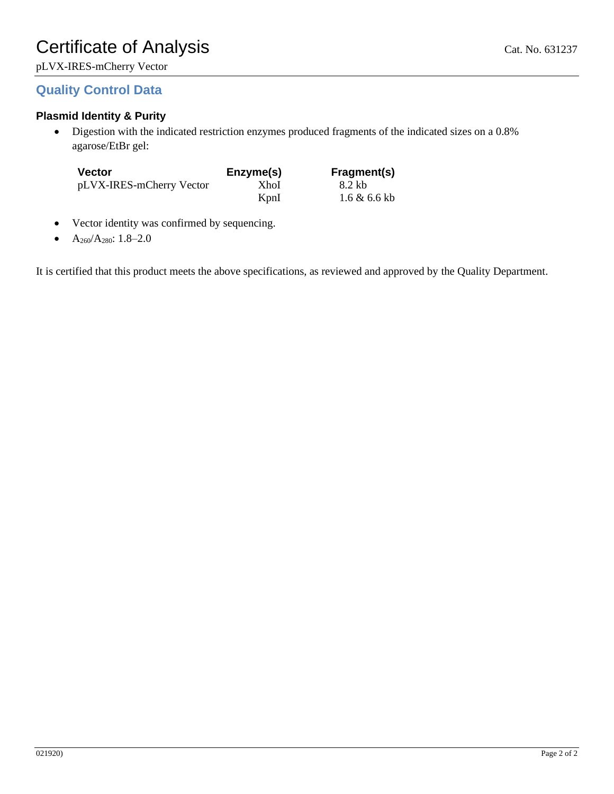## **Quality Control Data**

## **Plasmid Identity & Purity**

• Digestion with the indicated restriction enzymes produced fragments of the indicated sizes on a 0.8% agarose/EtBr gel:

| <b>Vector</b>            | Enzyme(s) | Fragment(s)             |
|--------------------------|-----------|-------------------------|
| pLVX-IRES-mCherry Vector | XhoI      | 8.2 kb                  |
|                          | KpnI      | $1.6 \& 6.6 \text{ kb}$ |

- Vector identity was confirmed by sequencing.
- $A_{260}/A_{280}$ : 1.8–2.0

It is certified that this product meets the above specifications, as reviewed and approved by the Quality Department.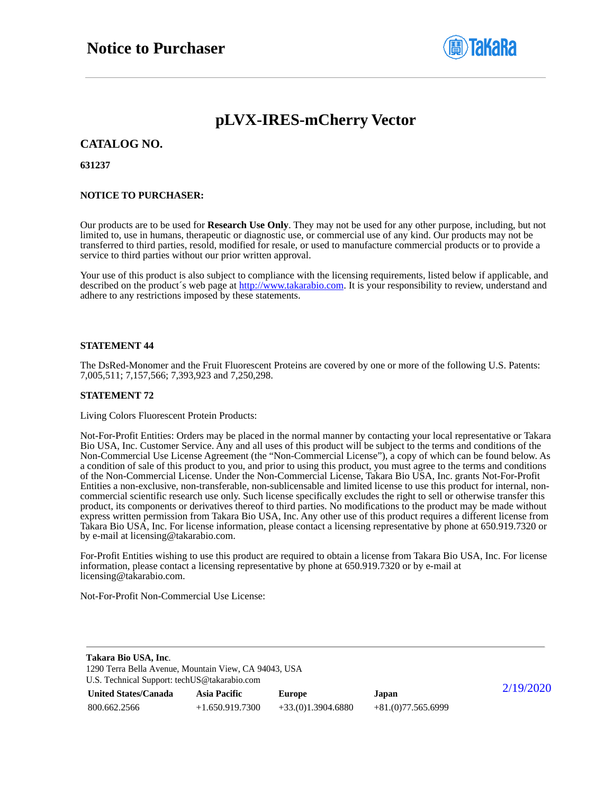

# **pLVX-IRES-mCherry Vector**

### **CATALOG NO.**

### **631237**

### **NOTICE TO PURCHASER:**

Our products are to be used for **Research Use Only**. They may not be used for any other purpose, including, but not limited to, use in humans, therapeutic or diagnostic use, or commercial use of any kind. Our products may not be transferred to third parties, resold, modified for resale, or used to manufacture commercial products or to provide a service to third parties without our prior written approval.

Your use of this product is also subject to compliance with the licensing requirements, listed below if applicable, and described on the product's web page at [http://www.takarabio.com.](http://www.takarabio.com/) It is your responsibility to review, understand and adhere to any restrictions imposed by these statements.

### **STATEMENT 44**

The DsRed-Monomer and the Fruit Fluorescent Proteins are covered by one or more of the following U.S. Patents: 7,005,511; 7,157,566; 7,393,923 and 7,250,298.

#### **STATEMENT 72**

Living Colors Fluorescent Protein Products:

Not-For-Profit Entities: Orders may be placed in the normal manner by contacting your local representative or Takara Bio USA, Inc. Customer Service. Any and all uses of this product will be subject to the terms and conditions of the Non-Commercial Use License Agreement (the "Non-Commercial License"), a copy of which can be found below. As a condition of sale of this product to you, and prior to using this product, you must agree to the terms and conditions of the Non-Commercial License. Under the Non-Commercial License, Takara Bio USA, Inc. grants Not-For-Profit Entities a non-exclusive, non-transferable, non-sublicensable and limited license to use this product for internal, noncommercial scientific research use only. Such license specifically excludes the right to sell or otherwise transfer this product, its components or derivatives thereof to third parties. No modifications to the product may be made without express written permission from Takara Bio USA, Inc. Any other use of this product requires a different license from Takara Bio USA, Inc. For license information, please contact a licensing representative by phone at 650.919.7320 or by e-mail at licensing@takarabio.com.

For-Profit Entities wishing to use this product are required to obtain a license from Takara Bio USA, Inc. For license information, please contact a licensing representative by phone at 650.919.7320 or by e-mail at licensing@takarabio.com.

Not-For-Profit Non-Commercial Use License:

| Takara Bio USA, Inc.                                  |                     |                     |                     |           |  |  |
|-------------------------------------------------------|---------------------|---------------------|---------------------|-----------|--|--|
| 1290 Terra Bella Avenue, Mountain View, CA 94043, USA |                     |                     |                     |           |  |  |
| U.S. Technical Support: techUS@takarabio.com          |                     |                     |                     |           |  |  |
| <b>United States/Canada</b>                           | <b>Asia Pacific</b> | Europe              | Japan               | 2/19/2020 |  |  |
| 800.662.2566                                          | $+1.650.919.7300$   | $+33(0)1.3904.6880$ | $+81(0)77.565.6999$ |           |  |  |